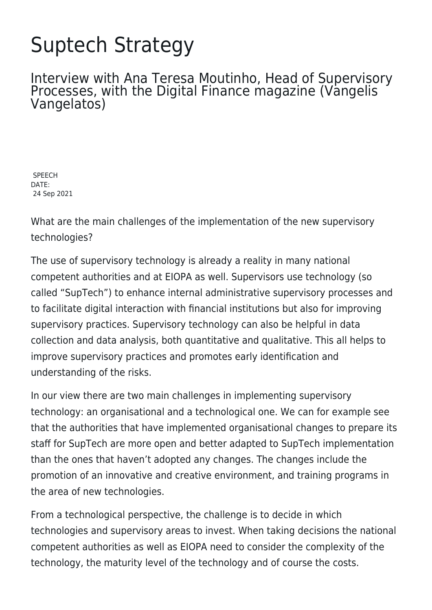## Suptech Strategy

Interview with Ana Teresa Moutinho, Head of Supervisory Processes, with the Digital Finance magazine (Vangelis Vangelatos)

SPEECH DATE: 24 Sep 2021

What are the main challenges of the implementation of the new supervisory technologies?

The use of supervisory technology is already a reality in many national competent authorities and at EIOPA as well. Supervisors use technology (so called "SupTech") to enhance internal administrative supervisory processes and to facilitate digital interaction with financial institutions but also for improving supervisory practices. Supervisory technology can also be helpful in data collection and data analysis, both quantitative and qualitative. This all helps to improve supervisory practices and promotes early identification and understanding of the risks.

In our view there are two main challenges in implementing supervisory technology: an organisational and a technological one. We can for example see that the authorities that have implemented organisational changes to prepare its staff for SupTech are more open and better adapted to SupTech implementation than the ones that haven't adopted any changes. The changes include the promotion of an innovative and creative environment, and training programs in the area of new technologies.

From a technological perspective, the challenge is to decide in which technologies and supervisory areas to invest. When taking decisions the national competent authorities as well as EIOPA need to consider the complexity of the technology, the maturity level of the technology and of course the costs.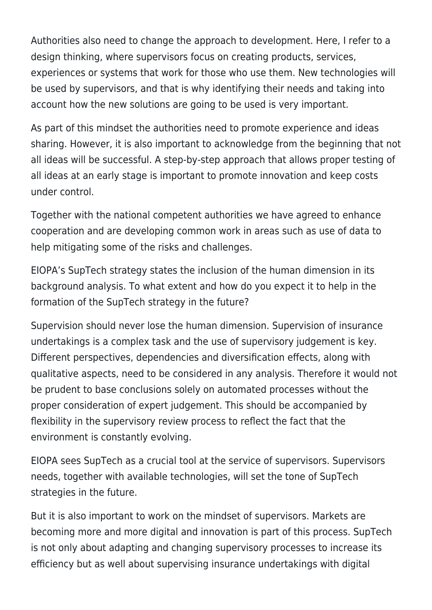Authorities also need to change the approach to development. Here, I refer to a design thinking, where supervisors focus on creating products, services, experiences or systems that work for those who use them. New technologies will be used by supervisors, and that is why identifying their needs and taking into account how the new solutions are going to be used is very important.

As part of this mindset the authorities need to promote experience and ideas sharing. However, it is also important to acknowledge from the beginning that not all ideas will be successful. A step-by-step approach that allows proper testing of all ideas at an early stage is important to promote innovation and keep costs under control.

Together with the national competent authorities we have agreed to enhance cooperation and are developing common work in areas such as use of data to help mitigating some of the risks and challenges.

EIOPA's SupTech strategy states the inclusion of the human dimension in its background analysis. To what extent and how do you expect it to help in the formation of the SupTech strategy in the future?

Supervision should never lose the human dimension. Supervision of insurance undertakings is a complex task and the use of supervisory judgement is key. Different perspectives, dependencies and diversification effects, along with qualitative aspects, need to be considered in any analysis. Therefore it would not be prudent to base conclusions solely on automated processes without the proper consideration of expert judgement. This should be accompanied by flexibility in the supervisory review process to reflect the fact that the environment is constantly evolving.

EIOPA sees SupTech as a crucial tool at the service of supervisors. Supervisors needs, together with available technologies, will set the tone of SupTech strategies in the future.

But it is also important to work on the mindset of supervisors. Markets are becoming more and more digital and innovation is part of this process. SupTech is not only about adapting and changing supervisory processes to increase its efficiency but as well about supervising insurance undertakings with digital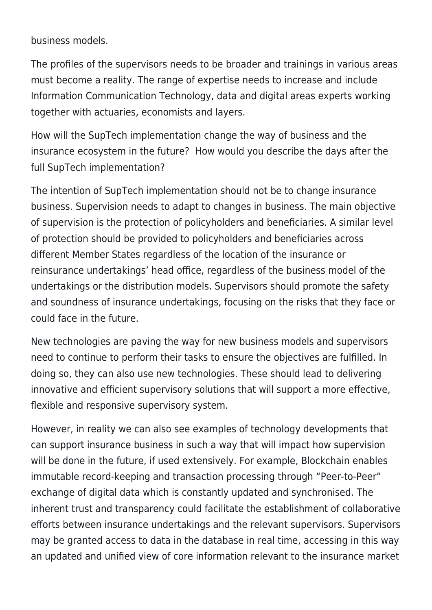business models.

The profiles of the supervisors needs to be broader and trainings in various areas must become a reality. The range of expertise needs to increase and include Information Communication Technology, data and digital areas experts working together with actuaries, economists and layers.

How will the SupTech implementation change the way of business and the insurance ecosystem in the future? How would you describe the days after the full SupTech implementation?

The intention of SupTech implementation should not be to change insurance business. Supervision needs to adapt to changes in business. The main objective of supervision is the protection of policyholders and beneficiaries. A similar level of protection should be provided to policyholders and beneficiaries across different Member States regardless of the location of the insurance or reinsurance undertakings' head office, regardless of the business model of the undertakings or the distribution models. Supervisors should promote the safety and soundness of insurance undertakings, focusing on the risks that they face or could face in the future.

New technologies are paving the way for new business models and supervisors need to continue to perform their tasks to ensure the objectives are fulfilled. In doing so, they can also use new technologies. These should lead to delivering innovative and efficient supervisory solutions that will support a more effective, flexible and responsive supervisory system.

However, in reality we can also see examples of technology developments that can support insurance business in such a way that will impact how supervision will be done in the future, if used extensively. For example, Blockchain enables immutable record-keeping and transaction processing through "Peer-to-Peer" exchange of digital data which is constantly updated and synchronised. The inherent trust and transparency could facilitate the establishment of collaborative efforts between insurance undertakings and the relevant supervisors. Supervisors may be granted access to data in the database in real time, accessing in this way an updated and unified view of core information relevant to the insurance market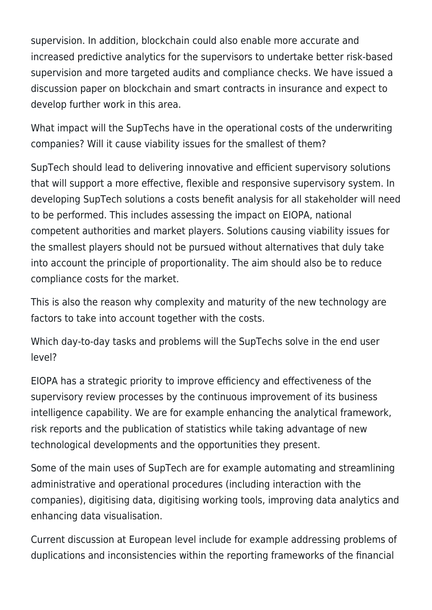supervision. In addition, blockchain could also enable more accurate and increased predictive analytics for the supervisors to undertake better risk-based supervision and more targeted audits and compliance checks. We have issued a discussion paper on blockchain and smart contracts in insurance and expect to develop further work in this area.

What impact will the SupTechs have in the operational costs of the underwriting companies? Will it cause viability issues for the smallest of them?

SupTech should lead to delivering innovative and efficient supervisory solutions that will support a more effective, flexible and responsive supervisory system. In developing SupTech solutions a costs benefit analysis for all stakeholder will need to be performed. This includes assessing the impact on EIOPA, national competent authorities and market players. Solutions causing viability issues for the smallest players should not be pursued without alternatives that duly take into account the principle of proportionality. The aim should also be to reduce compliance costs for the market.

This is also the reason why complexity and maturity of the new technology are factors to take into account together with the costs.

Which day-to-day tasks and problems will the SupTechs solve in the end user level?

EIOPA has a strategic priority to improve efficiency and effectiveness of the supervisory review processes by the continuous improvement of its business intelligence capability. We are for example enhancing the analytical framework, risk reports and the publication of statistics while taking advantage of new technological developments and the opportunities they present.

Some of the main uses of SupTech are for example automating and streamlining administrative and operational procedures (including interaction with the companies), digitising data, digitising working tools, improving data analytics and enhancing data visualisation.

Current discussion at European level include for example addressing problems of duplications and inconsistencies within the reporting frameworks of the financial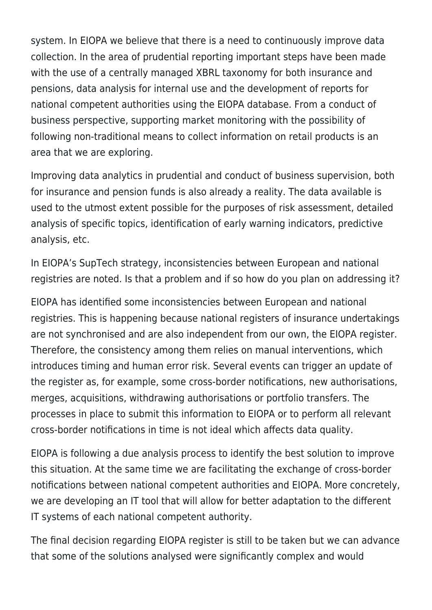system. In EIOPA we believe that there is a need to continuously improve data collection. In the area of prudential reporting important steps have been made with the use of a centrally managed XBRL taxonomy for both insurance and pensions, data analysis for internal use and the development of reports for national competent authorities using the EIOPA database. From a conduct of business perspective, supporting market monitoring with the possibility of following non-traditional means to collect information on retail products is an area that we are exploring.

Improving data analytics in prudential and conduct of business supervision, both for insurance and pension funds is also already a reality. The data available is used to the utmost extent possible for the purposes of risk assessment, detailed analysis of specific topics, identification of early warning indicators, predictive analysis, etc.

In EIOPA's SupTech strategy, inconsistencies between European and national registries are noted. Is that a problem and if so how do you plan on addressing it?

EIOPA has identified some inconsistencies between European and national registries. This is happening because national registers of insurance undertakings are not synchronised and are also independent from our own, the EIOPA register. Therefore, the consistency among them relies on manual interventions, which introduces timing and human error risk. Several events can trigger an update of the register as, for example, some cross-border notifications, new authorisations, merges, acquisitions, withdrawing authorisations or portfolio transfers. The processes in place to submit this information to EIOPA or to perform all relevant cross-border notifications in time is not ideal which affects data quality.

EIOPA is following a due analysis process to identify the best solution to improve this situation. At the same time we are facilitating the exchange of cross-border notifications between national competent authorities and EIOPA. More concretely, we are developing an IT tool that will allow for better adaptation to the different IT systems of each national competent authority.

The final decision regarding EIOPA register is still to be taken but we can advance that some of the solutions analysed were significantly complex and would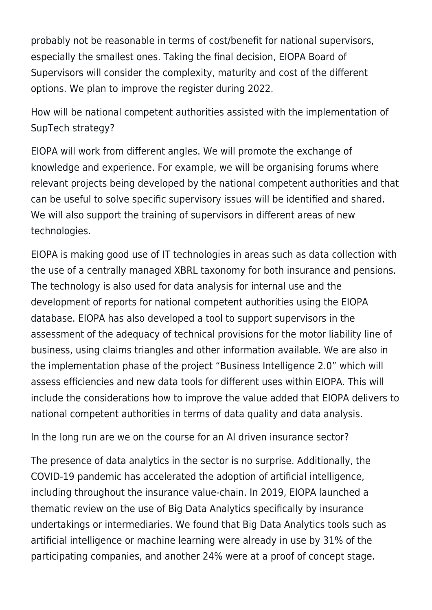probably not be reasonable in terms of cost/benefit for national supervisors, especially the smallest ones. Taking the final decision, EIOPA Board of Supervisors will consider the complexity, maturity and cost of the different options. We plan to improve the register during 2022.

How will be national competent authorities assisted with the implementation of SupTech strategy?

EIOPA will work from different angles. We will promote the exchange of knowledge and experience. For example, we will be organising forums where relevant projects being developed by the national competent authorities and that can be useful to solve specific supervisory issues will be identified and shared. We will also support the training of supervisors in different areas of new technologies.

EIOPA is making good use of IT technologies in areas such as data collection with the use of a centrally managed XBRL taxonomy for both insurance and pensions. The technology is also used for data analysis for internal use and the development of reports for national competent authorities using the EIOPA database. EIOPA has also developed a tool to support supervisors in the assessment of the adequacy of technical provisions for the motor liability line of business, using claims triangles and other information available. We are also in the implementation phase of the project "Business Intelligence 2.0" which will assess efficiencies and new data tools for different uses within EIOPA. This will include the considerations how to improve the value added that EIOPA delivers to national competent authorities in terms of data quality and data analysis.

In the long run are we on the course for an AI driven insurance sector?

The presence of data analytics in the sector is no surprise. Additionally, the COVID-19 pandemic has accelerated the adoption of artificial intelligence, including throughout the insurance value-chain. In 2019, EIOPA launched a thematic review on the use of Big Data Analytics specifically by insurance undertakings or intermediaries. We found that Big Data Analytics tools such as artificial intelligence or machine learning were already in use by 31% of the participating companies, and another 24% were at a proof of concept stage.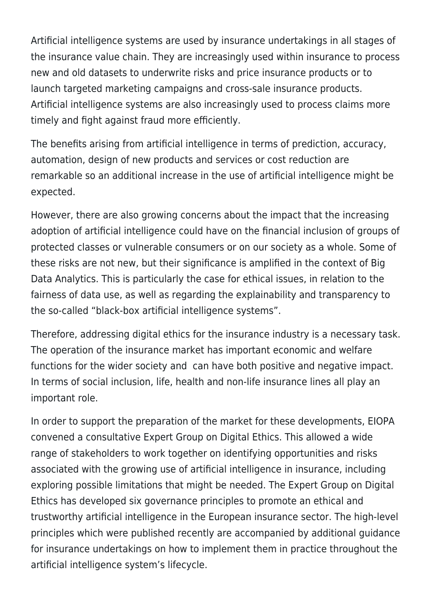Artificial intelligence systems are used by insurance undertakings in all stages of the insurance value chain. They are increasingly used within insurance to process new and old datasets to underwrite risks and price insurance products or to launch targeted marketing campaigns and cross-sale insurance products. Artificial intelligence systems are also increasingly used to process claims more timely and fight against fraud more efficiently.

The benefits arising from artificial intelligence in terms of prediction, accuracy, automation, design of new products and services or cost reduction are remarkable so an additional increase in the use of artificial intelligence might be expected.

However, there are also growing concerns about the impact that the increasing adoption of artificial intelligence could have on the financial inclusion of groups of protected classes or vulnerable consumers or on our society as a whole. Some of these risks are not new, but their significance is amplified in the context of Big Data Analytics. This is particularly the case for ethical issues, in relation to the fairness of data use, as well as regarding the explainability and transparency to the so-called "black-box artificial intelligence systems".

Therefore, addressing digital ethics for the insurance industry is a necessary task. The operation of the insurance market has important economic and welfare functions for the wider society and can have both positive and negative impact. In terms of social inclusion, life, health and non-life insurance lines all play an important role.

In order to support the preparation of the market for these developments, EIOPA convened a consultative Expert Group on Digital Ethics. This allowed a wide range of stakeholders to work together on identifying opportunities and risks associated with the growing use of artificial intelligence in insurance, including exploring possible limitations that might be needed. The Expert Group on Digital Ethics has developed six governance principles to promote an ethical and trustworthy artificial intelligence in the European insurance sector. The high-level principles which were published recently are accompanied by additional guidance for insurance undertakings on how to implement them in practice throughout the artificial intelligence system's lifecycle.